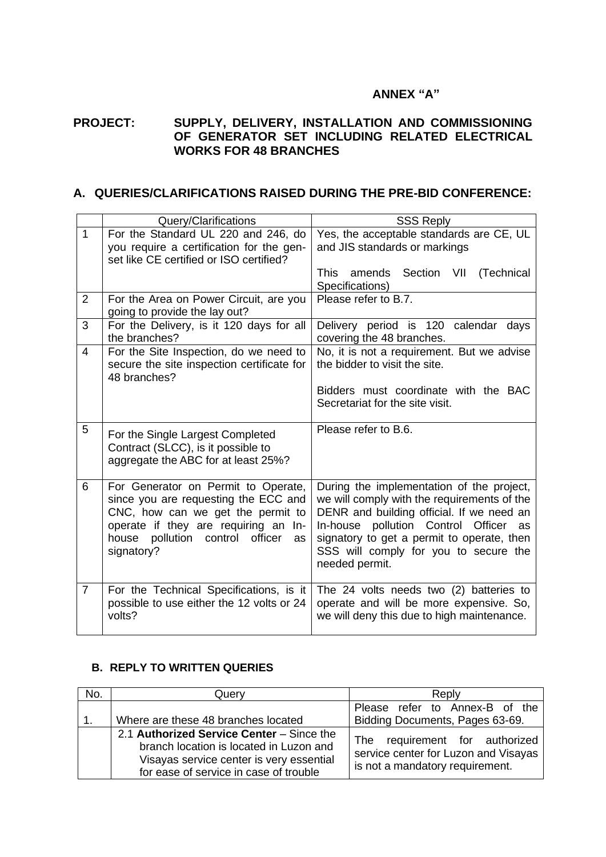## **ANNEX "A"**

## **PROJECT: SUPPLY, DELIVERY, INSTALLATION AND COMMISSIONING OF GENERATOR SET INCLUDING RELATED ELECTRICAL WORKS FOR 48 BRANCHES**

## **A. QUERIES/CLARIFICATIONS RAISED DURING THE PRE-BID CONFERENCE:**

|                | Query/Clarifications                                                                                                                                                                                        | <b>SSS Reply</b>                                                                                                                                                                                                                   |
|----------------|-------------------------------------------------------------------------------------------------------------------------------------------------------------------------------------------------------------|------------------------------------------------------------------------------------------------------------------------------------------------------------------------------------------------------------------------------------|
| $\mathbf{1}$   | For the Standard UL 220 and 246, do                                                                                                                                                                         | Yes, the acceptable standards are CE, UL                                                                                                                                                                                           |
|                | you require a certification for the gen-<br>set like CE certified or ISO certified?                                                                                                                         | and JIS standards or markings                                                                                                                                                                                                      |
|                |                                                                                                                                                                                                             | <b>This</b><br>amends Section VII<br>(Technical                                                                                                                                                                                    |
| $\overline{2}$ | For the Area on Power Circuit, are you<br>going to provide the lay out?                                                                                                                                     | Specifications)<br>Please refer to B.7.                                                                                                                                                                                            |
| 3              | For the Delivery, is it 120 days for all<br>the branches?                                                                                                                                                   | Delivery period is 120 calendar days<br>covering the 48 branches.                                                                                                                                                                  |
| 4              | For the Site Inspection, do we need to<br>secure the site inspection certificate for<br>48 branches?                                                                                                        | No, it is not a requirement. But we advise<br>the bidder to visit the site.                                                                                                                                                        |
|                |                                                                                                                                                                                                             | Bidders must coordinate with the BAC<br>Secretariat for the site visit.                                                                                                                                                            |
| 5              | For the Single Largest Completed<br>Contract (SLCC), is it possible to<br>aggregate the ABC for at least 25%?                                                                                               | Please refer to B.6.                                                                                                                                                                                                               |
| 6              | For Generator on Permit to Operate,<br>since you are requesting the ECC and<br>CNC, how can we get the permit to<br>operate if they are requiring an In-<br>house pollution control<br>officer<br><b>as</b> | During the implementation of the project,<br>we will comply with the requirements of the<br>DENR and building official. If we need an<br>pollution Control Officer<br>In-house<br>as<br>signatory to get a permit to operate, then |
|                | signatory?                                                                                                                                                                                                  | SSS will comply for you to secure the<br>needed permit.                                                                                                                                                                            |

## **B. REPLY TO WRITTEN QUERIES**

| No. | Querv                                                                                                                                                                      | Reply                                                                                                        |
|-----|----------------------------------------------------------------------------------------------------------------------------------------------------------------------------|--------------------------------------------------------------------------------------------------------------|
|     |                                                                                                                                                                            | Please refer to Annex-B of the                                                                               |
|     | Where are these 48 branches located                                                                                                                                        | Bidding Documents, Pages 63-69.                                                                              |
|     | 2.1 Authorized Service Center - Since the<br>branch location is located in Luzon and<br>Visayas service center is very essential<br>for ease of service in case of trouble | requirement for authorized<br>The<br>service center for Luzon and Visayas<br>is not a mandatory requirement. |